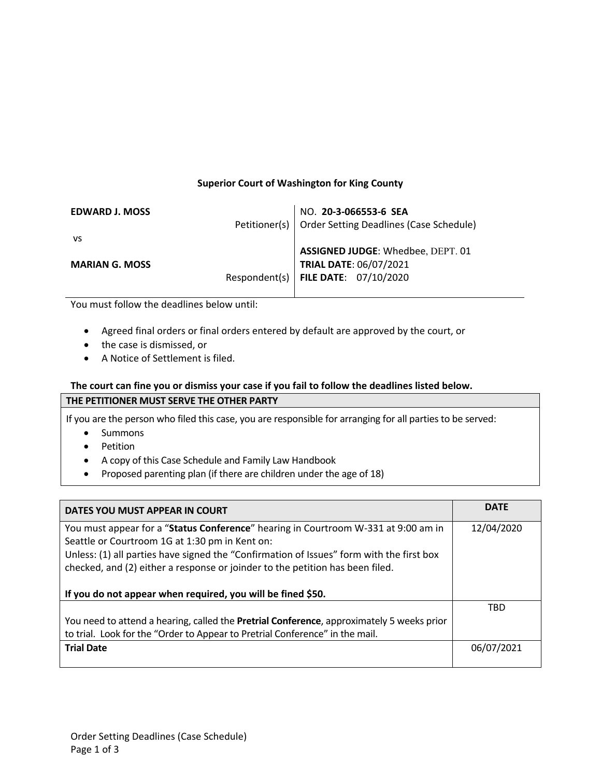# **Superior Court of Washington for King County**

| NO. 20-3-066553-6 SEA                                   |
|---------------------------------------------------------|
| Petitioner(s)   Order Setting Deadlines (Case Schedule) |
|                                                         |
| ASSIGNED JUDGE: Whedbee, DEPT. 01                       |
| <b>TRIAL DATE: 06/07/2021</b>                           |
| Respondent(s)   FILE DATE: $07/10/2020$                 |
|                                                         |

You must follow the deadlines below until:

- Agreed final orders or final orders entered by default are approved by the court, or
- the case is dismissed, or
- A Notice of Settlement is filed.

### **The court can fine you or dismiss your case if you fail to follow the deadlines listed below. THE PETITIONER MUST SERVE THE OTHER PARTY**

If you are the person who filed this case, you are responsible for arranging for all parties to be served:

- Summons
- Petition
- A copy of this Case Schedule and Family Law Handbook
- Proposed parenting plan (if there are children under the age of 18)

| DATES YOU MUST APPEAR IN COURT                                                                                                                                            | <b>DATE</b> |
|---------------------------------------------------------------------------------------------------------------------------------------------------------------------------|-------------|
| You must appear for a "Status Conference" hearing in Courtroom W-331 at 9:00 am in                                                                                        | 12/04/2020  |
| Seattle or Courtroom 1G at 1:30 pm in Kent on:                                                                                                                            |             |
| Unless: (1) all parties have signed the "Confirmation of Issues" form with the first box<br>checked, and (2) either a response or joinder to the petition has been filed. |             |
| If you do not appear when required, you will be fined \$50.                                                                                                               |             |
|                                                                                                                                                                           | <b>TRD</b>  |
| You need to attend a hearing, called the <b>Pretrial Conference</b> , approximately 5 weeks prior                                                                         |             |
| to trial. Look for the "Order to Appear to Pretrial Conference" in the mail.                                                                                              |             |
| <b>Trial Date</b>                                                                                                                                                         | 06/07/2021  |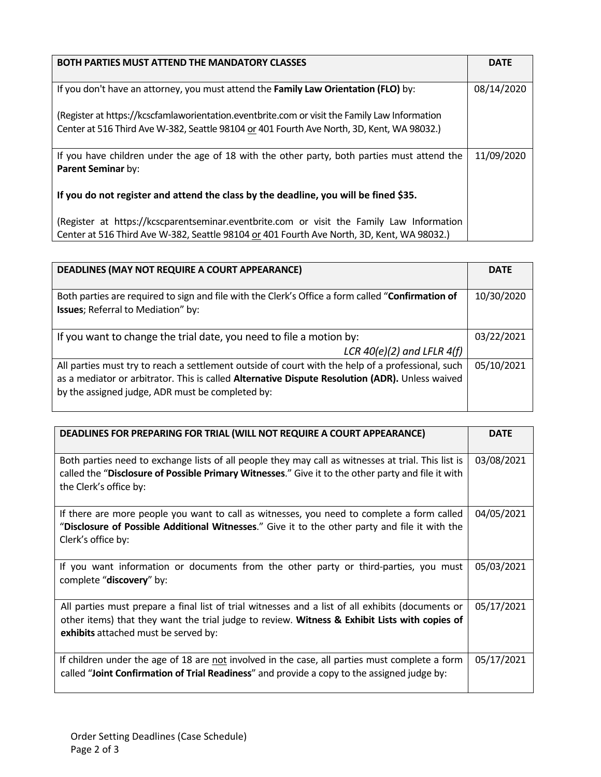| <b>BOTH PARTIES MUST ATTEND THE MANDATORY CLASSES</b>                                         | <b>DATE</b> |
|-----------------------------------------------------------------------------------------------|-------------|
|                                                                                               |             |
| If you don't have an attorney, you must attend the Family Law Orientation (FLO) by:           | 08/14/2020  |
|                                                                                               |             |
| (Register at https://kcscfamlaworientation.eventbrite.com or visit the Family Law Information |             |
| Center at 516 Third Ave W-382, Seattle 98104 or 401 Fourth Ave North, 3D, Kent, WA 98032.)    |             |
|                                                                                               |             |
| If you have children under the age of 18 with the other party, both parties must attend the   | 11/09/2020  |
| Parent Seminar by:                                                                            |             |
|                                                                                               |             |
| If you do not register and attend the class by the deadline, you will be fined \$35.          |             |
|                                                                                               |             |
| (Register at https://kcscparentseminar.eventbrite.com or visit the Family Law Information     |             |
| Center at 516 Third Ave W-382, Seattle 98104 or 401 Fourth Ave North, 3D, Kent, WA 98032.)    |             |

| DEADLINES (MAY NOT REQUIRE A COURT APPEARANCE)                                                                                                                                                                                                           | <b>DATE</b> |
|----------------------------------------------------------------------------------------------------------------------------------------------------------------------------------------------------------------------------------------------------------|-------------|
| Both parties are required to sign and file with the Clerk's Office a form called "Confirmation of<br><b>Issues</b> ; Referral to Mediation" by:                                                                                                          | 10/30/2020  |
| If you want to change the trial date, you need to file a motion by:<br>LCR $40(e)(2)$ and LFLR $4(f)$                                                                                                                                                    | 03/22/2021  |
| All parties must try to reach a settlement outside of court with the help of a professional, such<br>as a mediator or arbitrator. This is called Alternative Dispute Resolution (ADR). Unless waived<br>by the assigned judge, ADR must be completed by: | 05/10/2021  |

| <b>DEADLINES FOR PREPARING FOR TRIAL (WILL NOT REQUIRE A COURT APPEARANCE)</b>                                                                                                                                                             | <b>DATE</b> |
|--------------------------------------------------------------------------------------------------------------------------------------------------------------------------------------------------------------------------------------------|-------------|
| Both parties need to exchange lists of all people they may call as witnesses at trial. This list is<br>called the "Disclosure of Possible Primary Witnesses." Give it to the other party and file it with<br>the Clerk's office by:        | 03/08/2021  |
| If there are more people you want to call as witnesses, you need to complete a form called<br>"Disclosure of Possible Additional Witnesses." Give it to the other party and file it with the<br>Clerk's office by:                         | 04/05/2021  |
| If you want information or documents from the other party or third-parties, you must<br>complete "discovery" by:                                                                                                                           | 05/03/2021  |
| All parties must prepare a final list of trial witnesses and a list of all exhibits (documents or<br>other items) that they want the trial judge to review. Witness & Exhibit Lists with copies of<br>exhibits attached must be served by: | 05/17/2021  |
| If children under the age of 18 are not involved in the case, all parties must complete a form<br>called "Joint Confirmation of Trial Readiness" and provide a copy to the assigned judge by:                                              | 05/17/2021  |